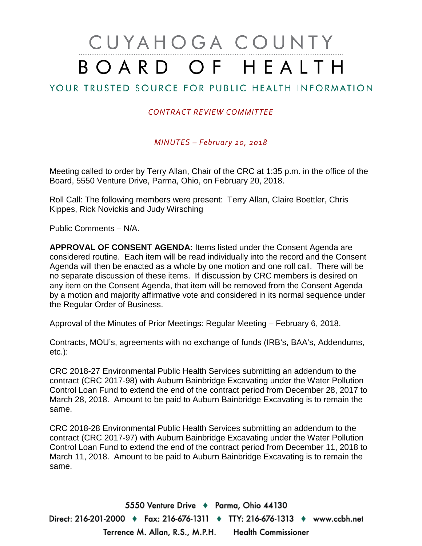## CUYAHOGA COUNTY BOARD OF HEALTH

## YOUR TRUSTED SOURCE FOR PUBLIC HEALTH INFORMATION

## *CONTRACT REVIEW COMMITTEE*

*MINUTES – February 20, 2018*

Meeting called to order by Terry Allan, Chair of the CRC at 1:35 p.m. in the office of the Board, 5550 Venture Drive, Parma, Ohio, on February 20, 2018.

Roll Call: The following members were present: Terry Allan, Claire Boettler, Chris Kippes, Rick Novickis and Judy Wirsching

Public Comments – N/A.

**APPROVAL OF CONSENT AGENDA:** Items listed under the Consent Agenda are considered routine. Each item will be read individually into the record and the Consent Agenda will then be enacted as a whole by one motion and one roll call. There will be no separate discussion of these items. If discussion by CRC members is desired on any item on the Consent Agenda, that item will be removed from the Consent Agenda by a motion and majority affirmative vote and considered in its normal sequence under the Regular Order of Business.

Approval of the Minutes of Prior Meetings: Regular Meeting – February 6, 2018.

Contracts, MOU's, agreements with no exchange of funds (IRB's, BAA's, Addendums, etc.):

CRC 2018-27 Environmental Public Health Services submitting an addendum to the contract (CRC 2017-98) with Auburn Bainbridge Excavating under the Water Pollution Control Loan Fund to extend the end of the contract period from December 28, 2017 to March 28, 2018. Amount to be paid to Auburn Bainbridge Excavating is to remain the same.

CRC 2018-28 Environmental Public Health Services submitting an addendum to the contract (CRC 2017-97) with Auburn Bainbridge Excavating under the Water Pollution Control Loan Fund to extend the end of the contract period from December 11, 2018 to March 11, 2018. Amount to be paid to Auburn Bainbridge Excavating is to remain the same.

5550 Venture Drive + Parma, Ohio 44130 Direct: 216-201-2000 ♦ Fax: 216-676-1311 ♦ TTY: 216-676-1313 ♦ www.ccbh.net Terrence M. Allan, R.S., M.P.H. Health Commissioner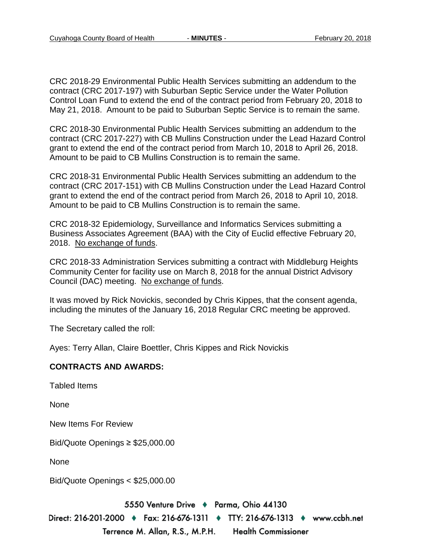CRC 2018-29 Environmental Public Health Services submitting an addendum to the contract (CRC 2017-197) with Suburban Septic Service under the Water Pollution Control Loan Fund to extend the end of the contract period from February 20, 2018 to May 21, 2018. Amount to be paid to Suburban Septic Service is to remain the same.

CRC 2018-30 Environmental Public Health Services submitting an addendum to the contract (CRC 2017-227) with CB Mullins Construction under the Lead Hazard Control grant to extend the end of the contract period from March 10, 2018 to April 26, 2018. Amount to be paid to CB Mullins Construction is to remain the same.

CRC 2018-31 Environmental Public Health Services submitting an addendum to the contract (CRC 2017-151) with CB Mullins Construction under the Lead Hazard Control grant to extend the end of the contract period from March 26, 2018 to April 10, 2018. Amount to be paid to CB Mullins Construction is to remain the same.

CRC 2018-32 Epidemiology, Surveillance and Informatics Services submitting a Business Associates Agreement (BAA) with the City of Euclid effective February 20, 2018. No exchange of funds.

CRC 2018-33 Administration Services submitting a contract with Middleburg Heights Community Center for facility use on March 8, 2018 for the annual District Advisory Council (DAC) meeting. No exchange of funds.

It was moved by Rick Novickis, seconded by Chris Kippes, that the consent agenda, including the minutes of the January 16, 2018 Regular CRC meeting be approved.

The Secretary called the roll:

Ayes: Terry Allan, Claire Boettler, Chris Kippes and Rick Novickis

## **CONTRACTS AND AWARDS:**

Tabled Items

None

New Items For Review

Bid/Quote Openings ≥ \$25,000.00

None

Bid/Quote Openings < \$25,000.00

5550 Venture Drive + Parma, Ohio 44130

Direct: 216-201-2000 ♦ Fax: 216-676-1311 ♦ TTY: 216-676-1313 ♦ www.ccbh.net Terrence M. Allan, R.S., M.P.H. Health Commissioner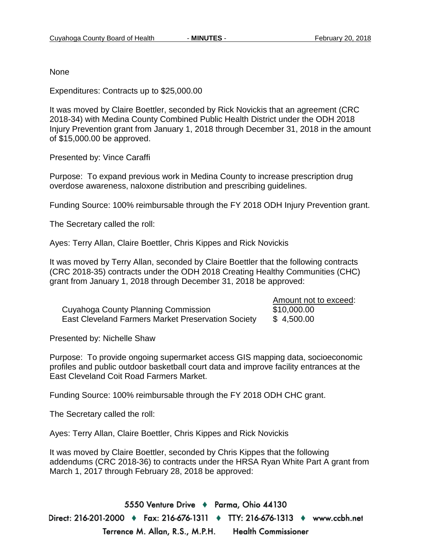Amount not to exceed:

None

Expenditures: Contracts up to \$25,000.00

It was moved by Claire Boettler, seconded by Rick Novickis that an agreement (CRC 2018-34) with Medina County Combined Public Health District under the ODH 2018 Injury Prevention grant from January 1, 2018 through December 31, 2018 in the amount of \$15,000.00 be approved.

Presented by: Vince Caraffi

Purpose: To expand previous work in Medina County to increase prescription drug overdose awareness, naloxone distribution and prescribing guidelines.

Funding Source: 100% reimbursable through the FY 2018 ODH Injury Prevention grant.

The Secretary called the roll:

Ayes: Terry Allan, Claire Boettler, Chris Kippes and Rick Novickis

It was moved by Terry Allan, seconded by Claire Boettler that the following contracts (CRC 2018-35) contracts under the ODH 2018 Creating Healthy Communities (CHC) grant from January 1, 2018 through December 31, 2018 be approved:

|                                                    | Amount not to exceed: |
|----------------------------------------------------|-----------------------|
| Cuyahoga County Planning Commission                | \$10,000.00           |
| East Cleveland Farmers Market Preservation Society | \$4,500.00            |

Presented by: Nichelle Shaw

Purpose: To provide ongoing supermarket access GIS mapping data, socioeconomic profiles and public outdoor basketball court data and improve facility entrances at the East Cleveland Coit Road Farmers Market.

Funding Source: 100% reimbursable through the FY 2018 ODH CHC grant.

The Secretary called the roll:

Ayes: Terry Allan, Claire Boettler, Chris Kippes and Rick Novickis

It was moved by Claire Boettler, seconded by Chris Kippes that the following addendums (CRC 2018-36) to contracts under the HRSA Ryan White Part A grant from March 1, 2017 through February 28, 2018 be approved:

5550 Venture Drive + Parma, Ohio 44130 Direct: 216-201-2000 ♦ Fax: 216-676-1311 ♦ TTY: 216-676-1313 ♦ www.ccbh.net Terrence M. Allan, R.S., M.P.H. **Health Commissioner**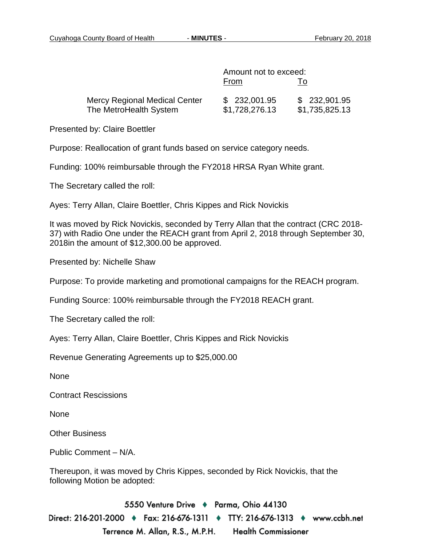|                                                                | Amount not to exceed:          |                                 |
|----------------------------------------------------------------|--------------------------------|---------------------------------|
|                                                                | From                           | 10                              |
| <b>Mercy Regional Medical Center</b><br>The MetroHealth System | \$232,001.95<br>\$1,728,276.13 | \$ 232,901.95<br>\$1,735,825.13 |

Presented by: Claire Boettler

Purpose: Reallocation of grant funds based on service category needs.

Funding: 100% reimbursable through the FY2018 HRSA Ryan White grant.

The Secretary called the roll:

Ayes: Terry Allan, Claire Boettler, Chris Kippes and Rick Novickis

It was moved by Rick Novickis, seconded by Terry Allan that the contract (CRC 2018- 37) with Radio One under the REACH grant from April 2, 2018 through September 30, 2018in the amount of \$12,300.00 be approved.

Presented by: Nichelle Shaw

Purpose: To provide marketing and promotional campaigns for the REACH program.

Funding Source: 100% reimbursable through the FY2018 REACH grant.

The Secretary called the roll:

Ayes: Terry Allan, Claire Boettler, Chris Kippes and Rick Novickis

Revenue Generating Agreements up to \$25,000.00

None

Contract Rescissions

None

Other Business

Public Comment – N/A.

Thereupon, it was moved by Chris Kippes, seconded by Rick Novickis, that the following Motion be adopted:

5550 Venture Drive + Parma, Ohio 44130 Direct: 216-201-2000 ♦ Fax: 216-676-1311 ♦ TTY: 216-676-1313 ♦ www.ccbh.net Terrence M. Allan, R.S., M.P.H. **Health Commissioner**